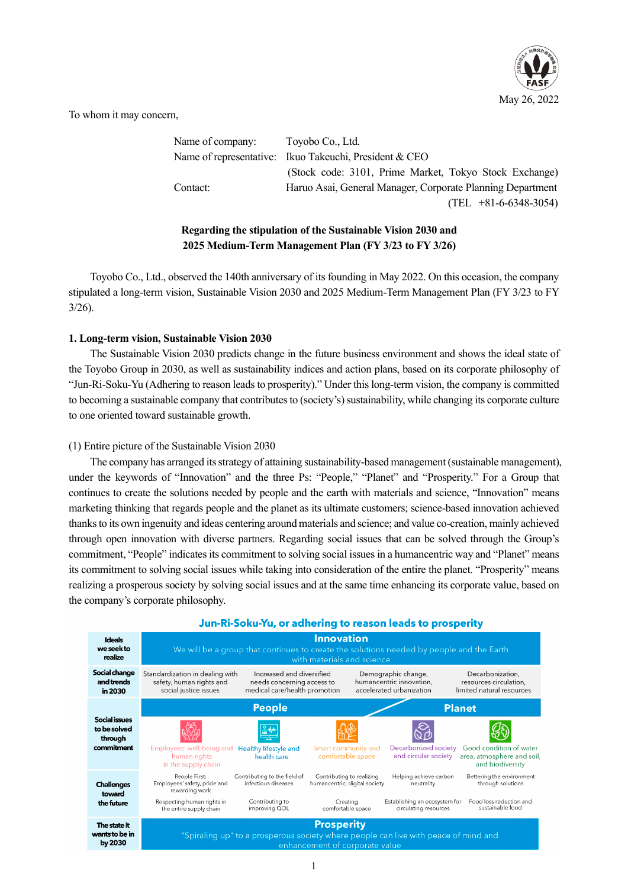

To whom it may concern,

Name of company: Toyobo Co., Ltd. Name of representative: Ikuo Takeuchi, President & CEO (Stock code: 3101, Prime Market, Tokyo Stock Exchange) Contact: Haruo Asai, General Manager, Corporate Planning Department (TEL +81-6-6348-3054)

# **Regarding the stipulation of the Sustainable Vision 2030 and 2025 Medium-Term Management Plan (FY 3/23 to FY 3/26)**

Toyobo Co., Ltd., observed the 140th anniversary of its founding in May 2022. On this occasion, the company stipulated a long-term vision, Sustainable Vision 2030 and 2025 Medium-Term Management Plan (FY 3/23 to FY 3/26).

### **1. Long-term vision, Sustainable Vision 2030**

The Sustainable Vision 2030 predicts change in the future business environment and shows the ideal state of the Toyobo Group in 2030, as well as sustainability indices and action plans, based on its corporate philosophy of "Jun-Ri-Soku-Yu (Adhering to reason leads to prosperity)." Under this long-term vision, the company is committed to becoming a sustainable company that contributes to (society's) sustainability, while changing its corporate culture to one oriented toward sustainable growth.

### (1) Entire picture of the Sustainable Vision 2030

The company has arranged its strategy of attaining sustainability-based management (sustainable management), under the keywords of "Innovation" and the three Ps: "People," "Planet" and "Prosperity." For a Group that continues to create the solutions needed by people and the earth with materials and science, "Innovation" means marketing thinking that regards people and the planet as its ultimate customers; science-based innovation achieved thanks to its own ingenuity and ideas centering around materials and science; and value co-creation, mainly achieved through open innovation with diverse partners. Regarding social issues that can be solved through the Group's commitment, "People" indicates its commitment to solving social issues in a humancentric way and "Planet" means its commitment to solving social issues while taking into consideration of the entire the planet. "Prosperity" means realizing a prosperous society by solving social issues and at the same time enhancing its corporate value, based on the company's corporate philosophy.



## Jun-Ri-Soku-Yu, or adhering to reason leads to prosperity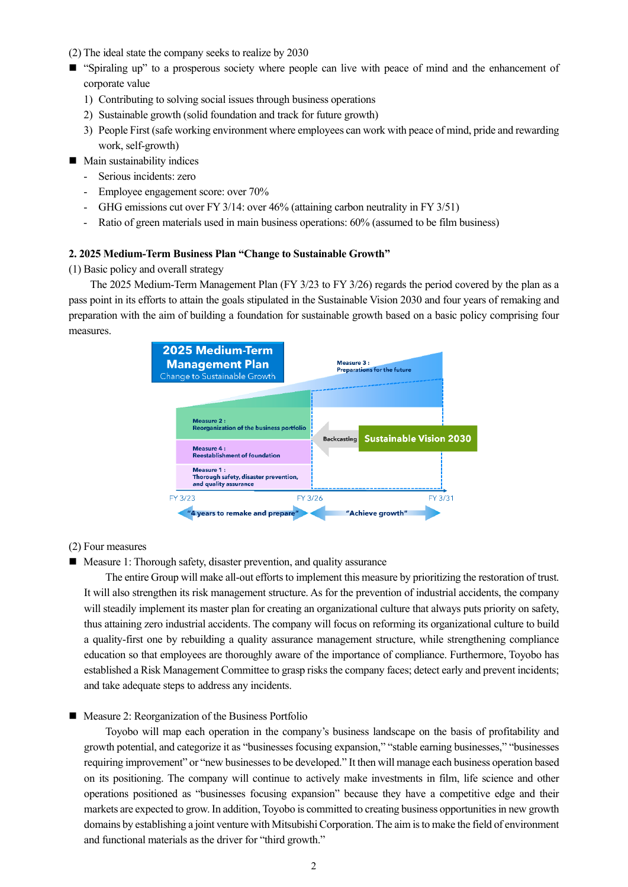- (2) The ideal state the company seeks to realize by 2030
- "Spiraling up" to a prosperous society where people can live with peace of mind and the enhancement of corporate value
	- 1) Contributing to solving social issues through business operations
	- 2) Sustainable growth (solid foundation and track for future growth)
	- 3) People First (safe working environment where employees can work with peace of mind, pride and rewarding work, self-growth)
- $\blacksquare$  Main sustainability indices
	- Serious incidents: zero
	- Employee engagement score: over 70%
	- GHG emissions cut over FY 3/14: over 46% (attaining carbon neutrality in FY 3/51)
	- Ratio of green materials used in main business operations: 60% (assumed to be film business)

#### **2. 2025 Medium-Term Business Plan "Change to Sustainable Growth"**

(1) Basic policy and overall strategy

The 2025 Medium-Term Management Plan (FY 3/23 to FY 3/26) regards the period covered by the plan as a pass point in its efforts to attain the goals stipulated in the Sustainable Vision 2030 and four years of remaking and preparation with the aim of building a foundation for sustainable growth based on a basic policy comprising four measures.



(2) Four measures

■ Measure 1: Thorough safety, disaster prevention, and quality assurance

The entire Group will make all-out efforts to implement this measure by prioritizing the restoration of trust. It will also strengthen its risk management structure. As for the prevention of industrial accidents, the company will steadily implement its master plan for creating an organizational culture that always puts priority on safety, thus attaining zero industrial accidents. The company will focus on reforming its organizational culture to build a quality-first one by rebuilding a quality assurance management structure, while strengthening compliance education so that employees are thoroughly aware of the importance of compliance. Furthermore, Toyobo has established a Risk Management Committee to grasp risks the company faces; detect early and prevent incidents; and take adequate steps to address any incidents.

### ■ Measure 2: Reorganization of the Business Portfolio

Toyobo will map each operation in the company's business landscape on the basis of profitability and growth potential, and categorize it as "businesses focusing expansion," "stable earning businesses," "businesses requiring improvement" or "new businesses to be developed." It then will manage each business operation based on its positioning. The company will continue to actively make investments in film, life science and other operations positioned as "businesses focusing expansion" because they have a competitive edge and their markets are expected to grow. In addition, Toyobo is committed to creating business opportunities in new growth domains by establishing a joint venture with Mitsubishi Corporation. The aim is to make the field of environment and functional materials as the driver for "third growth."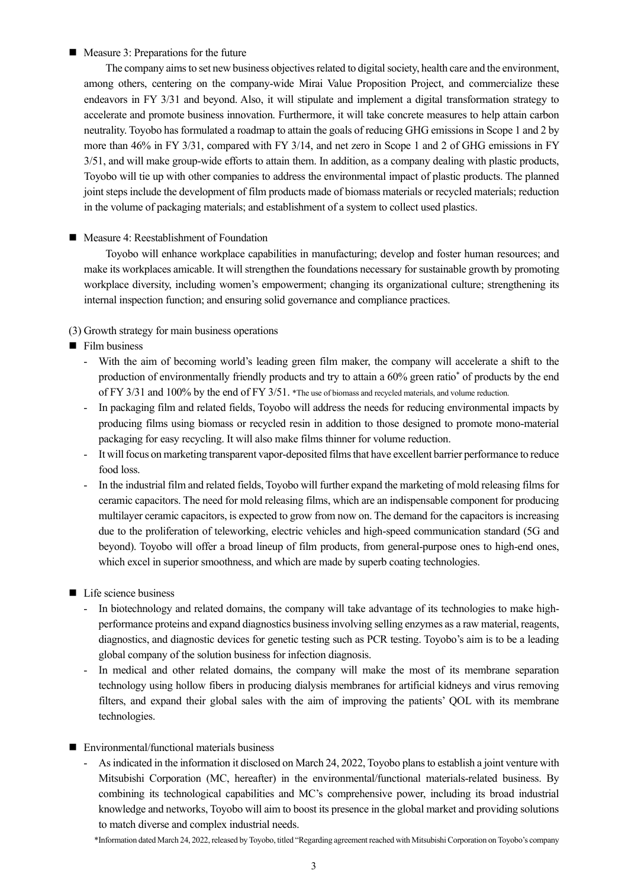### ■ Measure 3: Preparations for the future

The company aims to set new business objectives related to digital society, health care and the environment, among others, centering on the company-wide Mirai Value Proposition Project, and commercialize these endeavors in FY 3/31 and beyond. Also, it will stipulate and implement a digital transformation strategy to accelerate and promote business innovation. Furthermore, it will take concrete measures to help attain carbon neutrality. Toyobo has formulated a roadmap to attain the goals of reducing GHG emissions in Scope 1 and 2 by more than 46% in FY 3/31, compared with FY 3/14, and net zero in Scope 1 and 2 of GHG emissions in FY 3/51, and will make group-wide efforts to attain them. In addition, as a company dealing with plastic products, Toyobo will tie up with other companies to address the environmental impact of plastic products. The planned joint steps include the development of film products made of biomass materials or recycled materials; reduction in the volume of packaging materials; and establishment of a system to collect used plastics.

■ Measure 4: Reestablishment of Foundation

Toyobo will enhance workplace capabilities in manufacturing; develop and foster human resources; and make its workplaces amicable. It will strengthen the foundations necessary for sustainable growth by promoting workplace diversity, including women's empowerment; changing its organizational culture; strengthening its internal inspection function; and ensuring solid governance and compliance practices.

### (3) Growth strategy for main business operations

- $\blacksquare$  Film business
	- With the aim of becoming world's leading green film maker, the company will accelerate a shift to the production of environmentally friendly products and try to attain a 60% green ratio\* of products by the end of FY 3/31 and 100% by the end of FY 3/51. \*The use of biomass and recycled materials, and volume reduction.
	- In packaging film and related fields, Toyobo will address the needs for reducing environmental impacts by producing films using biomass or recycled resin in addition to those designed to promote mono-material packaging for easy recycling. It will also make films thinner for volume reduction.
	- It will focus on marketing transparent vapor-deposited films that have excellent barrier performance to reduce food loss.
	- In the industrial film and related fields, Toyobo will further expand the marketing of mold releasing films for ceramic capacitors. The need for mold releasing films, which are an indispensable component for producing multilayer ceramic capacitors, is expected to grow from now on. The demand for the capacitors is increasing due to the proliferation of teleworking, electric vehicles and high-speed communication standard (5G and beyond). Toyobo will offer a broad lineup of film products, from general-purpose ones to high-end ones, which excel in superior smoothness, and which are made by superb coating technologies.
- Life science business
	- In biotechnology and related domains, the company will take advantage of its technologies to make highperformance proteins and expand diagnostics business involving selling enzymes as a raw material, reagents, diagnostics, and diagnostic devices for genetic testing such as PCR testing. Toyobo's aim is to be a leading global company of the solution business for infection diagnosis.
	- In medical and other related domains, the company will make the most of its membrane separation technology using hollow fibers in producing dialysis membranes for artificial kidneys and virus removing filters, and expand their global sales with the aim of improving the patients' QOL with its membrane technologies.
- Environmental/functional materials business
	- As indicated in the information it disclosed on March 24, 2022, Toyobo plans to establish a joint venture with Mitsubishi Corporation (MC, hereafter) in the environmental/functional materials-related business. By combining its technological capabilities and MC's comprehensive power, including its broad industrial knowledge and networks, Toyobo will aim to boost its presence in the global market and providing solutions to match diverse and complex industrial needs.

\*Information dated March 24, 2022, released by Toyobo, titled "Regarding agreement reached with Mitsubishi Corporation on Toyobo's company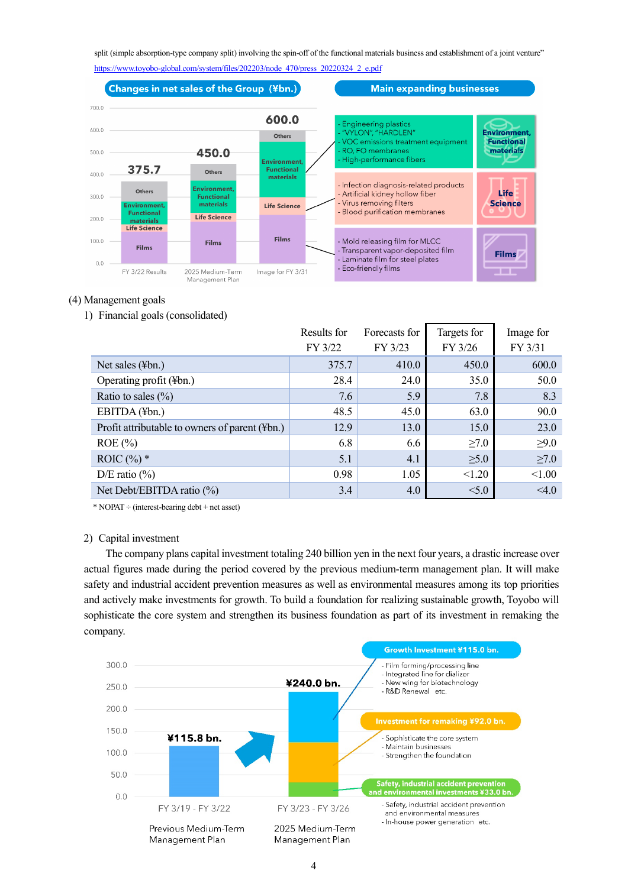split (simple absorption-type company split) involving the spin-off of the functional materials business and establishment of a joint venture" [https://www.toyobo-global.com/system/files/202203/node\\_470/press\\_20220324\\_2\\_e.pdf](https://www.toyobo-global.com/system/files/202203/node_470/press_20220324_2_e.pdf)





### (4) Management goals

1) Financial goals (consolidated)

|                                                | Results for | Forecasts for | Targets for | Image for  |
|------------------------------------------------|-------------|---------------|-------------|------------|
|                                                | FY 3/22     | FY 3/23       | FY 3/26     | FY 3/31    |
| Net sales (¥bn.)                               | 375.7       | 410.0         | 450.0       | 600.0      |
| Operating profit (¥bn.)                        | 28.4        | 24.0          | 35.0        | 50.0       |
| Ratio to sales $(\% )$                         | 7.6         | 5.9           | 7.8         | 8.3        |
| EBITDA (¥bn.)                                  | 48.5        | 45.0          | 63.0        | 90.0       |
| Profit attributable to owners of parent (¥bn.) | 12.9        | 13.0          | 15.0        | 23.0       |
| $ROE$ (%)                                      | 6.8         | 6.6           | $\geq 7.0$  | $\geq 9.0$ |
| ROIC $(\%)^*$                                  | 5.1         | 4.1           | $\geq 5.0$  | $\geq 7.0$ |
| D/E ratio $(\%)$                               | 0.98        | 1.05          | < 1.20      | < 1.00     |
| Net Debt/EBITDA ratio (%)                      | 3.4         | 4.0           | < 5.0       | < 4.0      |

\* NOPAT ÷ (interest-bearing debt + net asset)

### 2) Capital investment

The company plans capital investment totaling 240 billion yen in the next four years, a drastic increase over actual figures made during the period covered by the previous medium-term management plan. It will make safety and industrial accident prevention measures as well as environmental measures among its top priorities and actively make investments for growth. To build a foundation for realizing sustainable growth, Toyobo will sophisticate the core system and strengthen its business foundation as part of its investment in remaking the company.